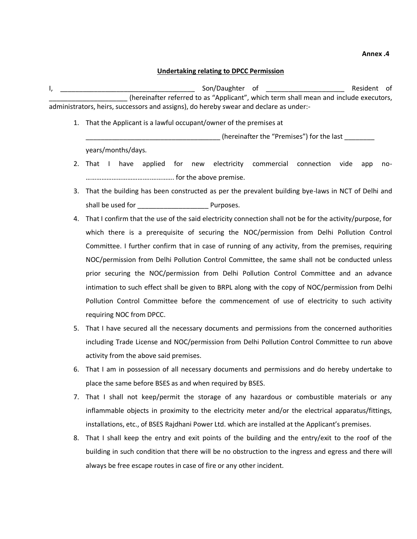## **Annex .4**

## **Undertaking relating to DPCC Permission**

I, \_\_\_\_\_\_\_\_\_\_\_\_\_\_\_\_\_\_\_\_\_\_\_\_\_\_\_\_\_\_\_\_\_\_\_\_ Son/Daughter of \_\_\_\_\_\_\_\_\_\_\_\_\_\_\_\_\_\_\_\_\_ Resident of \_\_\_\_\_\_\_\_\_\_\_\_\_\_\_\_\_\_\_\_\_ (hereinafter referred to as "Applicant", which term shall mean and include executors, administrators, heirs, successors and assigns), do hereby swear and declare as under:-

1. That the Applicant is a lawful occupant/owner of the premises at

\_\_\_\_\_\_\_\_\_\_\_\_\_\_\_\_\_\_\_\_\_\_\_\_\_\_\_\_\_\_\_\_\_\_\_\_ (hereinafter the "Premises") for the last \_\_\_\_\_\_\_\_ years/months/days.

- 2. That I have applied for new electricity commercial connection vide app no- ………………………………..…………. for the above premise.
- 3. That the building has been constructed as per the prevalent building bye-laws in NCT of Delhi and shall be used for **Example 20** Purposes.
- 4. That I confirm that the use of the said electricity connection shall not be for the activity/purpose, for which there is a prerequisite of securing the NOC/permission from Delhi Pollution Control Committee. I further confirm that in case of running of any activity, from the premises, requiring NOC/permission from Delhi Pollution Control Committee, the same shall not be conducted unless prior securing the NOC/permission from Delhi Pollution Control Committee and an advance intimation to such effect shall be given to BRPL along with the copy of NOC/permission from Delhi Pollution Control Committee before the commencement of use of electricity to such activity requiring NOC from DPCC.
- 5. That I have secured all the necessary documents and permissions from the concerned authorities including Trade License and NOC/permission from Delhi Pollution Control Committee to run above activity from the above said premises.
- 6. That I am in possession of all necessary documents and permissions and do hereby undertake to place the same before BSES as and when required by BSES.
- 7. That I shall not keep/permit the storage of any hazardous or combustible materials or any inflammable objects in proximity to the electricity meter and/or the electrical apparatus/fittings, installations, etc., of BSES Rajdhani Power Ltd. which are installed at the Applicant's premises.
- 8. That I shall keep the entry and exit points of the building and the entry/exit to the roof of the building in such condition that there will be no obstruction to the ingress and egress and there will always be free escape routes in case of fire or any other incident.